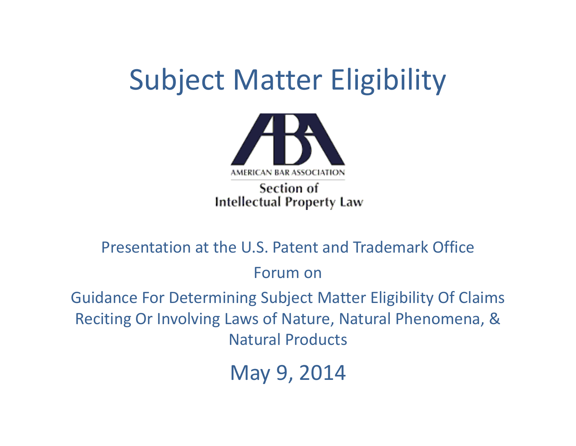## Subject Matter Eligibility



Section of **Intellectual Property Law** 

Presentation at the U.S. Patent and Trademark Office Forum on

Guidance For Determining Subject Matter Eligibility Of Claims Reciting Or Involving Laws of Nature, Natural Phenomena, & Natural Products

May 9, 2014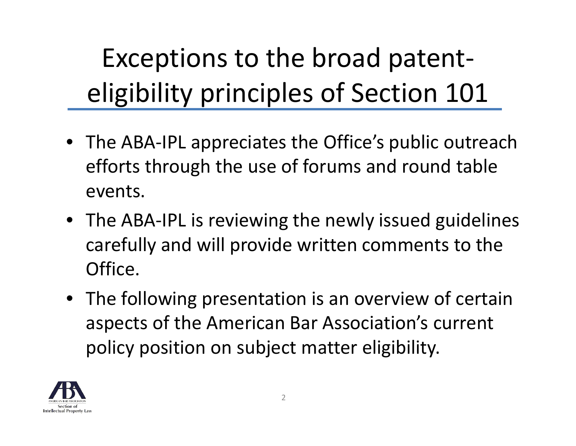Exceptions to the broad patent‐ eligibility principles of Section 101

- The ABA‐IPL appreciates the Office's public outreach efforts through the use of forums and round table events.
- The ABA‐IPL is reviewing the newly issued guidelines carefully and will provide written comments to the Office.
- The following presentation is an overview of certain aspects of the American Bar Association's current policy position on subject matter eligibility.

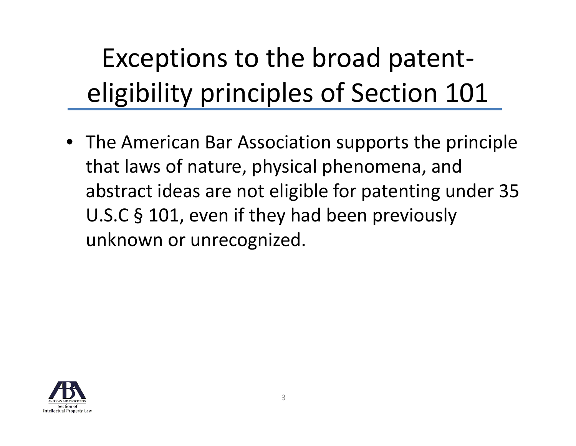Exceptions to the broad patent‐ eligibility principles of Section 101

• The American Bar Association supports the principle that laws of nature, physical phenomena, and abstract ideas are not eligible for patenting under 35 U.S.C § 101, even if they had been previously unknown or unrecognized.

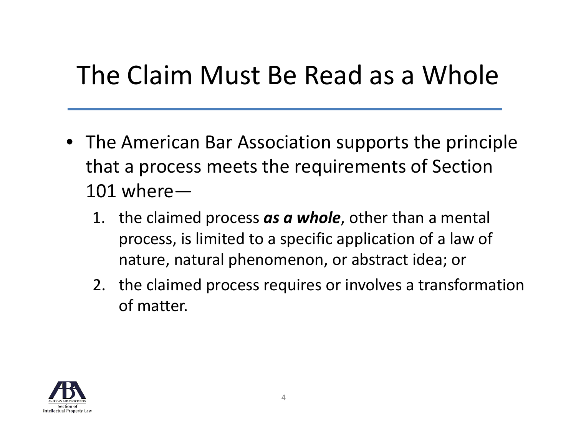## The Claim Must Be Read as <sup>a</sup> Whole

- The American Bar Association supports the principle that a process meets the requirements of Section  $101$  where $-$ 
	- 1. the claimed process *as <sup>a</sup> whole*, other than <sup>a</sup> mental process, is limited to <sup>a</sup> specific application of <sup>a</sup> law of nature, natural phenomenon, or abstract idea; or
	- 2. the claimed process requires or involves <sup>a</sup> transformation of matter.